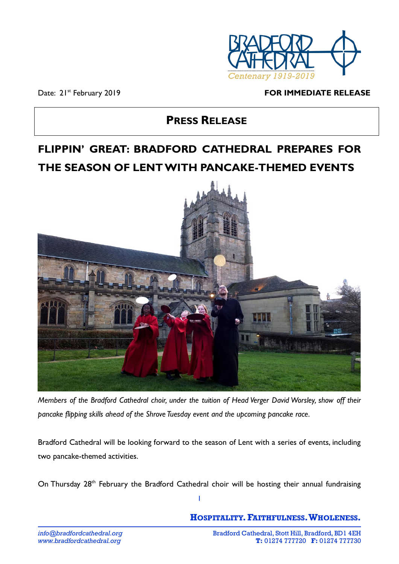

Date: 21<sup>st</sup> February 2019

#### **FOR IMMEDIATE RELEASE**

# **PRESS RELEASE**

# **FLIPPIN' GREAT: BRADFORD CATHEDRAL PREPARES FOR THE SEASON OF LENT WITH PANCAKE-THEMED EVENTS**



*Members of the Bradford Cathedral choir, under the tuition of Head Verger David Worsley, show off their pancake flipping skills ahead of the Shrove Tuesday event and the upcoming pancake race.*

Bradford Cathedral will be looking forward to the season of Lent with a series of events, including two pancake-themed activities.

On Thursday 28<sup>th</sup> February the Bradford Cathedral choir will be hosting their annual fundraising

1

**HOSPITALITY.FAITHFULNESS.WHOLENESS.**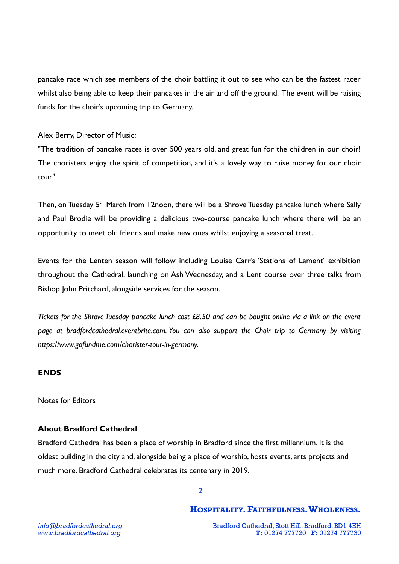pancake race which see members of the choir battling it out to see who can be the fastest racer whilst also being able to keep their pancakes in the air and off the ground. The event will be raising funds for the choir's upcoming trip to Germany.

Alex Berry, Director of Music:

"The tradition of pancake races is over 500 years old, and great fun for the children in our choir! The choristers enjoy the spirit of competition, and it's a lovely way to raise money for our choir tour"

Then, on Tuesday 5<sup>th</sup> March from 12noon, there will be a Shrove Tuesday pancake lunch where Sally and Paul Brodie will be providing a delicious two-course pancake lunch where there will be an opportunity to meet old friends and make new ones whilst enjoying a seasonal treat.

Events for the Lenten season will follow including Louise Carr's 'Stations of Lament' exhibition throughout the Cathedral, launching on Ash Wednesday, and a Lent course over three talks from Bishop John Pritchard, alongside services for the season.

*Tickets for the Shrove Tuesday pancake lunch cost £8.50 and can be bought online via a link on the event page at bradfordcathedral.eventbrite.com. You can also support the Choir trip to Germany by visiting https://www.gofundme.com/chorister-tour-in-germany.*

## **ENDS**

#### Notes for Editors

#### **About Bradford Cathedral**

Bradford Cathedral has been a place of worship in Bradford since the first millennium. It is the oldest building in the city and, alongside being a place of worship, hosts events, arts projects and much more. Bradford Cathedral celebrates its centenary in 2019.

## **HOSPITALITY.FAITHFULNESS.WHOLENESS.**